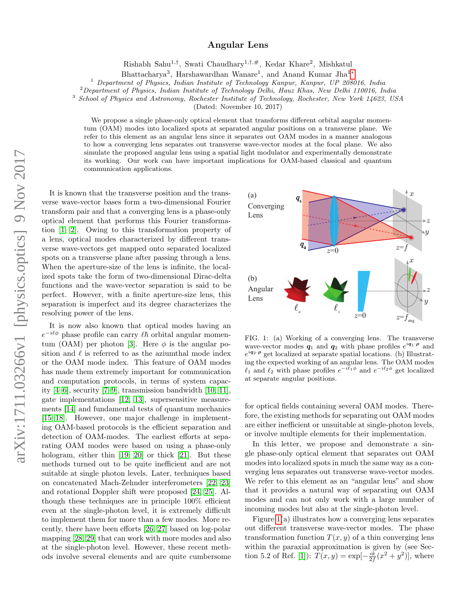## Angular Lens

Rishabh Sahu<sup>1,†</sup>, Swati Chaudhary<sup>1,†,#</sup>, Kedar Khare<sup>2</sup>, Mishkatul

Bhattacharya<sup>3</sup>, Harshawardhan Wanare<sup>1</sup>, and Anand Kumar Jha<sup>1</sup>\*

<sup>1</sup> Department of Physics, Indian Institute of Technology Kanpur, Kanpur, UP 208016, India

<sup>2</sup>Department of Physics, Indian Institute of Technology Delhi, Hauz Khas, New Delhi 110016, India

<sup>3</sup> School of Physics and Astronomy, Rochester Institute of Technology, Rochester, New York 14623, USA

(Dated: November 10, 2017)

We propose a single phase-only optical element that transforms different orbital angular momentum (OAM) modes into localized spots at separated angular positions on a transverse plane. We refer to this element as an angular lens since it separates out OAM modes in a manner analogous to how a converging lens separates out transverse wave-vector modes at the focal plane. We also simulate the proposed angular lens using a spatial light modulator and experimentally demonstrate its working. Our work can have important implications for OAM-based classical and quantum communication applications.

arXiv:1711.03266v1 [physics.optics] 9 Nov 2017 arXiv:1711.03266v1 [physics.optics] 9 Nov 2017

It is known that the transverse position and the transverse wave-vector bases form a two-dimensional Fourier transform pair and that a converging lens is a phase-only optical element that performs this Fourier transformation [\[1,](#page-3-1) [2\]](#page-3-2). Owing to this transformation property of a lens, optical modes characterized by different transverse wave-vectors get mapped onto separated localized spots on a transverse plane after passing through a lens. When the aperture-size of the lens is infinite, the localized spots take the form of two-dimensional Dirac-delta functions and the wave-vector separation is said to be perfect. However, with a finite aperture-size lens, this separation is imperfect and its degree characterizes the resolving power of the lens.

It is now also known that optical modes having an  $e^{-i\ell\phi}$  phase profile can carry  $\ell\hbar$  orbital angular momen-tum (OAM) per photon [\[3\]](#page-3-3). Here  $\phi$  is the angular position and  $\ell$  is referred to as the aziumthal mode index or the OAM mode index. This feature of OAM modes has made them extremely important for communication and computation protocols, in terms of system capacity [\[4](#page-3-4)[–6\]](#page-3-5), security [\[7–](#page-3-6)[9\]](#page-3-7), transmission bandwidth [\[10,](#page-3-8) [11\]](#page-3-9), gate implementations [\[12,](#page-3-10) [13\]](#page-3-11), supersensitive measurements [\[14\]](#page-3-12) and fundamental tests of quantum mechanics [\[15–](#page-3-13)[18\]](#page-3-14). However, one major challenge in implementing OAM-based protocols is the efficient separation and detection of OAM-modes. The earliest efforts at separating OAM modes were based on using a phase-only hologram, either thin [\[19,](#page-4-0) [20\]](#page-4-1) or thick [\[21\]](#page-4-2). But these methods turned out to be quite inefficient and are not suitable at single photon levels. Later, techniques based on concatenated Mach-Zehnder interferometers [\[22,](#page-4-3) [23\]](#page-4-4) and rotational Doppler shift were proposed [\[24,](#page-4-5) [25\]](#page-4-6). Although these techniques are in principle 100% efficient even at the single-photon level, it is extremely difficult to implement them for more than a few modes. More recently, there have been efforts [\[26,](#page-4-7) [27\]](#page-4-8) based on log-polar mapping [\[28,](#page-4-9) [29\]](#page-4-10) that can work with more modes and also at the single-photon level. However, these recent methods involve several elements and are quite cumbersome



<span id="page-0-0"></span>FIG. 1: (a) Working of a converging lens. The transverse wave-vector modes  $q_1$  and  $q_2$  with phase profiles  $e^{iq_1 \cdot \rho}$  and  $e^{i\mathbf{q}_2 \cdot \boldsymbol{\rho}}$  get localized at separate spatial locations. (b) Illustrating the expected working of an angular lens. The OAM modes  $\ell_1$  and  $\ell_2$  with phase profiles  $e^{-i\ell_1\phi}$  and  $e^{-i\ell_2\phi}$  get localized at separate angular positions.

for optical fields containing several OAM modes. Therefore, the existing methods for separating out OAM modes are either inefficient or unsuitable at single-photon levels, or involve multiple elements for their implementation.

In this letter, we propose and demonstrate a single phase-only optical element that separates out OAM modes into localized spots in much the same way as a converging lens separates out transverse wave-vector modes. We refer to this element as an "angular lens" and show that it provides a natural way of separating out OAM modes and can not only work with a large number of incoming modes but also at the single-photon level.

Figure  $1(a)$  illustrates how a converging lens separates out different transverse wave-vector modes. The phase transformation function  $T(x, y)$  of a thin converging lens within the paraxial approximation is given by (see Sec-tion 5.2 of Ref. [\[1\]](#page-3-1)):  $T(x, y) = \exp[-\frac{ik}{2f}(x^2 + y^2)]$ , where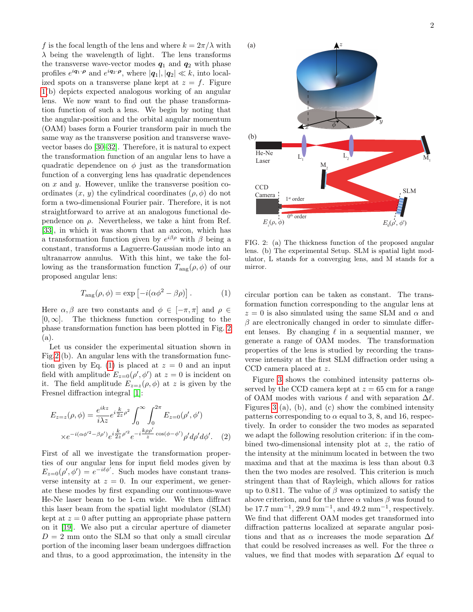f is the focal length of the lens and where  $k = 2\pi/\lambda$  with  $\lambda$  being the wavelength of light. The lens transforms the transverse wave-vector modes  $q_1$  and  $q_2$  with phase profiles  $e^{i\mathbf{q}_1 \cdot \mathbf{\rho}}$  and  $e^{i\mathbf{q}_2 \cdot \mathbf{\rho}}$ , where  $|\mathbf{q}_1|, |\mathbf{q}_2| \ll k$ , into localized spots on a transverse plane kept at  $z = f$ . Figure [1\(](#page-0-0)b) depicts expected analogous working of an angular lens. We now want to find out the phase transformation function of such a lens. We begin by noting that the angular-position and the orbital angular momentum (OAM) bases form a Fourier transform pair in much the same way as the transverse position and transverse wavevector bases do [\[30–](#page-4-11)[32\]](#page-4-12). Therefore, it is natural to expect the transformation function of an angular lens to have a quadratic dependence on  $\phi$  just as the transformation function of a converging lens has quadratic dependences on  $x$  and  $y$ . However, unlike the transverse position coordinates  $(x, y)$  the cylindrical coordinates  $(\rho, \phi)$  do not form a two-dimensional Fourier pair. Therefore, it is not straightforward to arrive at an analogous functional dependence on  $\rho$ . Nevertheless, we take a hint from Ref. [\[33\]](#page-4-13), in which it was shown that an axicon, which has a transformation function given by  $e^{i\beta \rho}$  with  $\beta$  being a constant, transforms a Laguerre-Gaussian mode into an ultranarrow annulus. With this hint, we take the following as the transformation function  $T_{\text{ang}}(\rho, \phi)$  of our proposed angular lens:

<span id="page-1-1"></span>
$$
T_{\text{ang}}(\rho,\phi) = \exp\left[-i(\alpha\phi^2 - \beta\rho)\right].\tag{1}
$$

Here  $\alpha, \beta$  are two constants and  $\phi \in [-\pi, \pi]$  and  $\rho \in$  $[0, \infty]$ . The thickness function corresponding to the phase transformation function has been plotted in Fig. [2](#page-1-0) (a).

Let us consider the experimental situation shown in Fig[.2](#page-1-0) (b). An angular lens with the transformation func-tion given by Eq. [\(1\)](#page-1-1) is placed at  $z = 0$  and an input field with amplitude  $E_{z=0}(\rho', \phi')$  at  $z=0$  is incident on it. The field amplitude  $E_{z=z}(\rho, \phi)$  at z is given by the Fresnel diffraction integral [\[1\]](#page-3-1):

$$
E_{z=z}(\rho,\phi) = \frac{e^{ikz}}{i\lambda z} e^{i\frac{k}{2z}\rho^2} \int_0^\infty \int_0^{2\pi} E_{z=0}(\rho',\phi')
$$
  
 
$$
\times e^{-i(\alpha\phi'^2 - \beta\rho')} e^{i\frac{k}{2z}\rho'^2} e^{-i\frac{k\rho\rho'}{z}} \cos(\phi - \phi') \rho' d\rho' d\phi'.
$$
 (2)

First of all we investigate the transformation properties of our angular lens for input field modes given by  $E_{z=0}(\rho', \phi') = e^{-i\ell\phi'}$ . Such modes have constant transverse intensity at  $z = 0$ . In our experiment, we generate these modes by first expanding our continuous-wave He-Ne laser beam to be 1-cm wide. We then diffract this laser beam from the spatial light modulator (SLM) kept at  $z = 0$  after putting an appropriate phase pattern on it [\[19\]](#page-4-0). We also put a circular aperture of diameter  $D = 2$  mm onto the SLM so that only a small circular portion of the incoming laser beam undergoes diffraction and thus, to a good approximation, the intensity in the



<span id="page-1-0"></span>FIG. 2: (a) The thickness function of the proposed angular lens. (b) The experimental Setup. SLM is spatial light modulator, L stands for a converging lens, and M stands for a mirror.

circular portion can be taken as constant. The transformation function corresponding to the angular lens at  $z = 0$  is also simulated using the same SLM and  $\alpha$  and  $\beta$  are electronically changed in order to simulate different lenses. By changing  $\ell$  in a sequential manner, we generate a range of OAM modes. The transformation properties of the lens is studied by recording the transverse intensity at the first SLM diffraction order using a CCD camera placed at z.

<span id="page-1-2"></span>Figure [3](#page-2-0) shows the combined intensity patterns observed by the CCD camera kept at  $z = 65$  cm for a range of OAM modes with various  $\ell$  and with separation  $\Delta \ell$ . Figures [3](#page-2-0) (a), (b), and (c) show the combined intensity patterns corresponding to  $\alpha$  equal to 3, 8, and 16, respectively. In order to consider the two modes as separated we adapt the following resolution criterion: if in the combined two-dimensional intensity plot at z, the ratio of the intensity at the minimum located in between the two maxima and that at the maxima is less than about 0.3 then the two modes are resolved. This criterion is much stringent than that of Rayleigh, which allows for ratios up to 0.811. The value of  $\beta$  was optimized to satisfy the above criterion, and for the three  $\alpha$  values  $\beta$  was found to be 17.7 mm<sup>-1</sup>, 29.9 mm<sup>-1</sup>, and 49.2 mm<sup>-1</sup>, respectively. We find that different OAM modes get transformed into diffraction patterns localized at separate angular positions and that as  $\alpha$  increases the mode separation  $\Delta\ell$ that could be resolved increases as well. For the three  $\alpha$ values, we find that modes with separation  $\Delta\ell$  equal to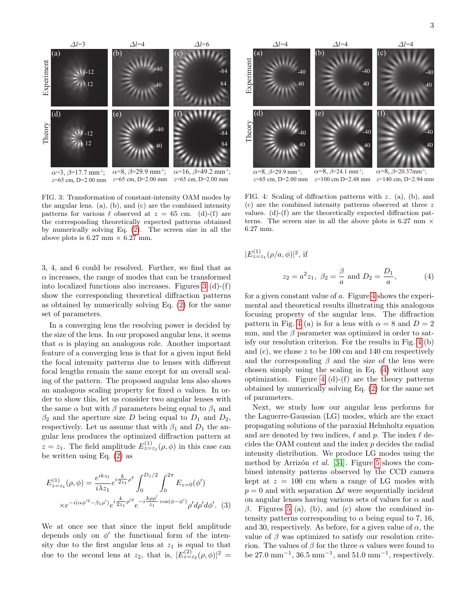<span id="page-2-2"></span> $(4)$ 

 $\alpha = 3$ ,  $\beta = 17.7$  mm<sup>-1</sup>; Experiment Theory  $\alpha=8, \beta=29.9$  mm<sup>-1</sup>;  $\alpha$ =16,  $\beta$ =49.2 mm<sup>-1</sup>;  $\Delta l = 3$   $\Delta l = 4$   $\Delta l = 6$ -12 12 40  $-40$   $-84$ 84 -12  $12 \t\t 40$  $-40$  -84 84 (a) (b) (c) (d)  $(e)$  (f)

FIG. 3: Transformation of constant-intensity OAM modes by the angular lens. (a), (b), and (c) are the combined intensity patterns for various  $\ell$  observed at  $z = 65$  cm. (d)-(f) are the corresponding theoretically expected patterns obtained by numerically solving Eq. [\(2\)](#page-1-2). The screen size in all the above plots is 6.27 mm  $\times$  6.27 mm.

 $z=65$  cm, D=2.00 mm  $z=65$  cm, D=2.00 mm

<span id="page-2-0"></span> $z=65$  cm, D=2.00 mm

3, 4, and 6 could be resolved. Further, we find that as  $\alpha$  increases, the range of modes that can be transformed into localized functions also increases. Figures [3](#page-2-0) (d)-(f) show the corresponding theoretical diffraction patterns as obtained by numerically solving Eq. [\(2\)](#page-1-2) for the same set of parameters.

In a converging lens the resolving power is decided by the size of the lens. In our proposed angular lens, it seems that  $\alpha$  is playing an analogous role. Another important feature of a converging lens is that for a given input field the focal intensity patterns due to lenses with different focal lengths remain the same except for an overall scaling of the pattern. The proposed angular lens also shows an analogous scaling property for fixed  $\alpha$  values. In order to show this, let us consider two angular lenses with the same  $\alpha$  but with  $\beta$  parameters being equal to  $\beta_1$  and  $\beta_2$  and the aperture size D being equal to  $D_1$  and  $D_2$ , respectively. Let us assume that with  $\beta_1$  and  $D_1$  the angular lens produces the optimized diffraction pattern at  $z = z_1$ . The field amplitude  $E_{z=z_1}^{(1)}(\rho, \phi)$  in this case can be written using Eq. [\(2\)](#page-1-2) as

$$
E_{z=z_1}^{(1)}(\rho,\phi) = \frac{e^{ikz_1}}{i\lambda z_1} e^{i\frac{k}{2z_1}\rho^2} \int_0^{D_1/2} \int_0^{2\pi} E_{z=0}(\phi')
$$
  
 
$$
\times e^{-i(\alpha\phi'^2 - \beta_1\rho')} e^{i\frac{k}{2z_1}\rho'^2} e^{-i\frac{k\rho\rho'}{z_1}\cos(\phi-\phi')} \rho' d\rho' d\phi'.
$$
 (3)

We at once see that since the input field amplitude depends only on  $\phi'$  the functional form of the intensity due to the first angular lens at  $z_1$  is equal to that due to the second lens at  $z_2$ , that is,  $|E_{z=z_2}^{(2)}(\rho,\phi)|^2 =$ 





<span id="page-2-1"></span>FIG. 4: Scaling of diffraction patterns with z. (a), (b), and (c) are the combined intensity patterns observed at three z values. (d)-(f) are the theoretically expected diffraction patterns. The screen size in all the above plots is 6.27 mm  $\times$ 6.27 mm.

$$
|E_{z=z_1}^{(1)}(\rho/a,\phi)|^2
$$
, if  
 $z_2 = a^2 z_1$ ,  $\beta_2 = \frac{\beta}{a}$  and  $D_2 = \frac{D_1}{a}$ , (

for a given constant value of a. Figure [4](#page-2-1) shows the experimental and theoretical results illustrating this analogous focusing property of the angular lens. The diffraction pattern in Fig. [4](#page-2-1) (a) is for a lens with  $\alpha = 8$  and  $D = 2$ mm, and the  $\beta$  parameter was optimized in order to satisfy our resolution criterion. For the results in Fig. [4](#page-2-1) (b) and  $(c)$ , we chose z to be 100 cm and 140 cm respectively and the corresponding  $\beta$  and the size of the lens were chosen simply using the scaling in Eq. [\(4\)](#page-2-2) without any optimization. Figure [4](#page-2-1) (d)-(f) are the theory patterns obtained by numerically solving Eq. [\(2\)](#page-1-2) for the same set of parameters.

<span id="page-2-3"></span>Next, we study how our angular lens performs for the Laguerre-Gaussian (LG) modes, which are the exact propagating solutions of the paraxial Helmholtz equation and are denoted by two indices,  $\ell$  and p. The index  $\ell$  decides the OAM content and the index p decides the radial intensity distribution. We produce LG modes using the method by Arrizón *et al.* [\[34\]](#page-4-14). Figure [5](#page-3-15) shows the combined intensity patterns observed by the CCD camera kept at  $z = 100$  cm when a range of LG modes with  $p = 0$  and with separation  $\Delta \ell$  were sequentially incident on angular lenses having various sets of values for  $\alpha$  and β. Figures [5](#page-3-15) (a), (b), and (c) show the combined intensity patterns corresponding to  $\alpha$  being equal to 7, 16, and 30, respectively. As before, for a given value of  $\alpha$ , the value of  $\beta$  was optimized to satisfy our resolution criterion. The values of  $\beta$  for the three  $\alpha$  values were found to be  $27.0 \text{ mm}^{-1}$ ,  $36.5 \text{ mm}^{-1}$ , and  $51.0 \text{ mm}^{-1}$ , respectively.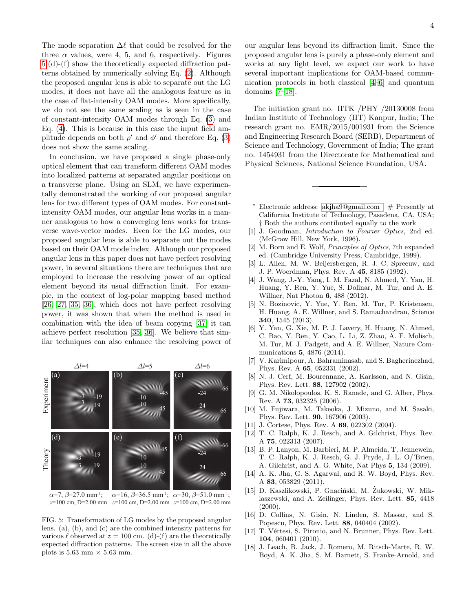The mode separation  $\Delta\ell$  that could be resolved for the three  $\alpha$  values, were 4, 5, and 6, respectively. Figures [5](#page-3-15) (d)-(f) show the theoretically expected diffraction patterns obtained by numerically solving Eq. [\(2\)](#page-1-2). Although the proposed angular lens is able to separate out the LG modes, it does not have all the analogous feature as in the case of flat-intensity OAM modes. More specifically, we do not see the same scaling as is seen in the case of constant-intensity OAM modes through Eq. [\(3\)](#page-2-3) and Eq. [\(4\)](#page-2-2). This is because in this case the input field amplitude depends on both  $\rho'$  and  $\phi'$  and therefore Eq. [\(3\)](#page-2-3) does not show the same scaling.

In conclusion, we have proposed a single phase-only optical element that can transform different OAM modes into localized patterns at separated angular positions on a transverse plane. Using an SLM, we have experimentally demonstrated the working of our proposed angular lens for two different types of OAM modes. For constantintensity OAM modes, our angular lens works in a manner analogous to how a converging lens works for transverse wave-vector modes. Even for the LG modes, our proposed angular lens is able to separate out the modes based on their OAM mode index. Although our proposed angular lens in this paper does not have perfect resolving power, in several situations there are techniques that are employed to increase the resolving power of an optical element beyond its usual diffraction limit. For example, in the context of log-polar mapping based method [\[26,](#page-4-7) [27,](#page-4-8) [35,](#page-4-15) [36\]](#page-4-16), which does not have perfect resolving power, it was shown that when the method is used in combination with the idea of beam copying [\[37\]](#page-4-17) it can achieve perfect resolution [\[35,](#page-4-15) [36\]](#page-4-16). We believe that similar techniques can also enhance the resolving power of



 $\alpha=7, \beta=27.0$  mm<sup>-1</sup>;  $\alpha$ =16,  $\beta$ =36.5 mm<sup>-1</sup>;  $\alpha$ =30,  $\beta$ =51.0 mm<sup>-1</sup>;  $z=100$  cm, D=2.00 mm  $z=100$  cm, D=2.00 mm

<span id="page-3-15"></span>FIG. 5: Transformation of LG modes by the proposed angular lens. (a), (b), and (c) are the combined intensity patterns for various  $\ell$  observed at  $z = 100$  cm. (d)-(f) are the theoretically expected diffraction patterns. The screen size in all the above plots is  $5.63$  mm  $\times$   $5.63$  mm.

our angular lens beyond its diffraction limit. Since the proposed angular lens is purely a phase-only element and works at any light level, we expect our work to have several important implications for OAM-based communication protocols in both classical [\[4](#page-3-4)[–6\]](#page-3-5) and quantum domains [\[7](#page-3-6)[–18\]](#page-3-14).

The initiation grant no. IITK /PHY /20130008 from Indian Institute of Technology (IIT) Kanpur, India; The research grant no. EMR/2015/001931 from the Science and Engineering Research Board (SERB), Department of Science and Technology, Government of India; The grant no. 1454931 from the Directorate for Mathematical and Physical Sciences, National Science Foundation, USA.

- <span id="page-3-0"></span><sup>∗</sup> Electronic address: [akjha9@gmail.com ;](mailto:akjha9@gmail.com ) # Presently at California Institute of Technology, Pasadena, CA, USA; † Both the authors contibuted equally to the work
- <span id="page-3-1"></span>[1] J. Goodman, Introduction to Fourier Optics, 2nd ed. (McGraw Hill, New York, 1996).
- <span id="page-3-2"></span>[2] M. Born and E. Wolf, Principles of Optics, 7th expanded ed. (Cambridge University Press, Cambridge, 1999).
- <span id="page-3-3"></span>[3] L. Allen, M. W. Beijersbergen, R. J. C. Spreeuw, and J. P. Woerdman, Phys. Rev. A 45, 8185 (1992).
- <span id="page-3-4"></span>[4] J. Wang, J.-Y. Yang, I. M. Fazal, N. Ahmed, Y. Yan, H. Huang, Y. Ren, Y. Yue, S. Dolinar, M. Tur, and A. E. Willner, Nat Photon 6, 488 (2012).
- [5] N. Bozinovic, Y. Yue, Y. Ren, M. Tur, P. Kristensen, H. Huang, A. E. Willner, and S. Ramachandran, Science 340, 1545 (2013).
- <span id="page-3-5"></span>[6] Y. Yan, G. Xie, M. P. J. Lavery, H. Huang, N. Ahmed, C. Bao, Y. Ren, Y. Cao, L. Li, Z. Zhao, A. F. Molisch, M. Tur, M. J. Padgett, and A. E. Willner, Nature Communications 5, 4876 (2014).
- <span id="page-3-6"></span>[7] V. Karimipour, A. Bahraminasab, and S. Bagherinezhad, Phys. Rev. A 65, 052331 (2002).
- [8] N. J. Cerf, M. Bourennane, A. Karlsson, and N. Gisin, Phys. Rev. Lett. 88, 127902 (2002).
- <span id="page-3-7"></span>[9] G. M. Nikolopoulos, K. S. Ranade, and G. Alber, Phys. Rev. A 73, 032325 (2006).
- <span id="page-3-8"></span>[10] M. Fujiwara, M. Takeoka, J. Mizuno, and M. Sasaki, Phys. Rev. Lett. 90, 167906 (2003).
- <span id="page-3-9"></span>[11] J. Cortese, Phys. Rev. A **69**, 022302 (2004).
- <span id="page-3-10"></span>[12] T. C. Ralph, K. J. Resch, and A. Gilchrist, Phys. Rev. A 75, 022313 (2007).
- <span id="page-3-11"></span>[13] B. P. Lanyon, M. Barbieri, M. P. Almeida, T. Jennewein, T. C. Ralph, K. J. Resch, G. J. Pryde, J. L. O/'Brien, A. Gilchrist, and A. G. White, Nat Phys 5, 134 (2009).
- <span id="page-3-12"></span>[14] A. K. Jha, G. S. Agarwal, and R. W. Boyd, Phys. Rev. A 83, 053829 (2011).
- <span id="page-3-13"></span>[15] D. Kaszlikowski, P. Gnaciński, M. Zukowski, W. Miklaszewski, and A. Zeilinger, Phys. Rev. Lett. 85, 4418 (2000).
- [16] D. Collins, N. Gisin, N. Linden, S. Massar, and S. Popescu, Phys. Rev. Lett. 88, 040404 (2002).
- [17] T. Vértesi, S. Pironio, and N. Brunner, Phys. Rev. Lett. 104, 060401 (2010).
- <span id="page-3-14"></span>[18] J. Leach, B. Jack, J. Romero, M. Ritsch-Marte, R. W. Boyd, A. K. Jha, S. M. Barnett, S. Franke-Arnold, and